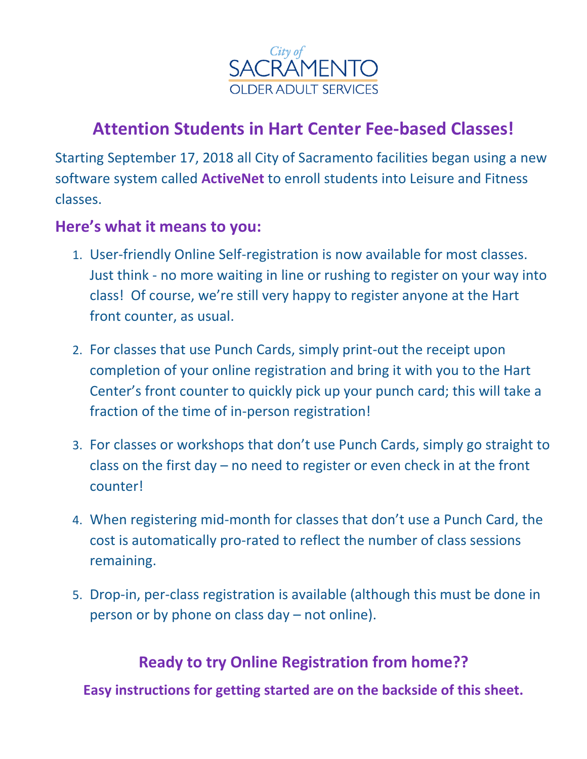

## **Attention Students in Hart Center Fee-based Classes!**

Starting September 17, 2018 all City of Sacramento facilities began using a new software system called **ActiveNet** to enroll students into Leisure and Fitness classes.

#### **Here's what it means to you:**

- 1. User-friendly Online Self-registration is now available for most classes. Just think - no more waiting in line or rushing to register on your way into class! Of course, we're still very happy to register anyone at the Hart front counter, as usual.
- 2. For classes that use Punch Cards, simply print-out the receipt upon completion of your online registration and bring it with you to the Hart Center's front counter to quickly pick up your punch card; this will take a fraction of the time of in-person registration!
- 3. For classes or workshops that don't use Punch Cards, simply go straight to class on the first day – no need to register or even check in at the front counter!
- 4. When registering mid-month for classes that don't use a Punch Card, the cost is automatically pro-rated to reflect the number of class sessions remaining.
- 5. Drop-in, per-class registration is available (although this must be done in person or by phone on class day – not online).

#### **Ready to try Online Registration from home??**

**Easy instructions for getting started are on the backside of this sheet.**